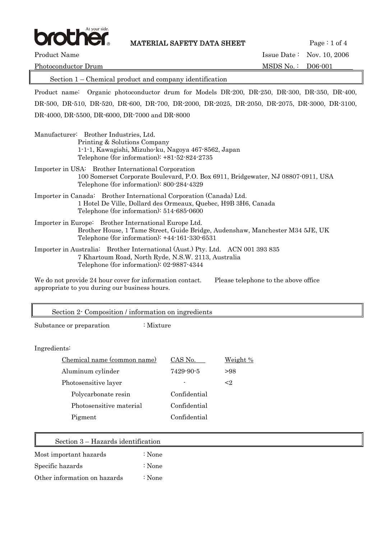

**MATERIAL SAFETY DATA SHEET** Page : 1 of 4

Product Name Issue Date : Nov. 10, 2006 Photoconductor Drum and the settlement of the MSDS No. : D06-001

 Section 1 – Chemical product and company identification Product name: Organic photoconductor drum for Models DR-200, DR-250, DR-300, DR-350, DR-400, DR-500, DR-510, DR-520, DR-600, DR-700, DR-2000, DR-2025, DR-2050, DR-2075, DR-3000, DR-3100, DR-4000, DR-5500, DR-6000, DR-7000 and DR-8000 Manufacturer: Brother Industries, Ltd. Printing & Solutions Company 1-1-1, Kawagishi, Mizuho-ku, Nagoya 467-8562, Japan Telephone (for information): +81-52-824-2735 Importer in USA: Brother International Corporation 100 Somerset Corporate Boulevard, P.O. Box 6911, Bridgewater, NJ 08807-0911, USA Telephone (for information): 800-284-4329 Importer in Canada: Brother International Corporation (Canada) Ltd. 1 Hotel De Ville, Dollard des Ormeaux, Quebec, H9B 3H6, Canada Telephone (for information): 514-685-0600 Importer in Europe: Brother International Europe Ltd. Brother House, 1 Tame Street, Guide Bridge, Audenshaw, Manchester M34 5JE, UK Telephone (for information): +44-161-330-6531 Importer in Australia: Brother International (Aust.) Pty. Ltd. ACN 001 393 835 7 Khartoum Road, North Ryde, N.S.W. 2113, Australia Telephone (for information): 02-9887-4344

We do not provide 24 hour cover for information contact. Please telephone to the above office appropriate to you during our business hours.

| Section 2 Composition / information on ingredients |              |          |
|----------------------------------------------------|--------------|----------|
| Substance or preparation<br>$:$ Mixture            |              |          |
|                                                    |              |          |
| Ingredients:                                       |              |          |
| Chemical name (common name)                        | CAS No.      | Weight % |
| Aluminum cylinder                                  | 7429-90-5    | >98      |
| Photosensitive layer                               |              | $\leq$ 2 |
| Polycarbonate resin                                | Confidential |          |
| Photosensitive material                            | Confidential |          |
| Pigment                                            | Confidential |          |
|                                                    |              |          |
| Section 3 – Hazards identification                 |              |          |
| Most important hazards<br>$:$ None                 |              |          |

Specific hazards : None

Other information on hazards : None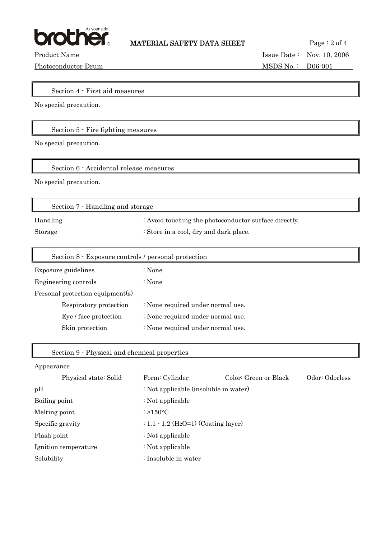

 $\overline{\mathbf{d}}$ 

Photoconductor Drum MSDS No.: D06-001

Product Name Issue Date : Nov. 10, 2006

Section 4 - First aid measures

No special precaution.

# Section 5 - Fire fighting measures

No special precaution.

Section 6 - Accidental release measures

No special precaution.

| Section 7 - Handling and storage |                                                                  |  |
|----------------------------------|------------------------------------------------------------------|--|
| Handling                         | $\therefore$ Avoid touching the photoconductor surface directly. |  |
| Storage                          | : Store in a cool, dry and dark place.                           |  |

| Section 8 - Exposure controls / personal protection |                                   |
|-----------------------------------------------------|-----------------------------------|
| Exposure guidelines                                 | : None                            |
| Engineering controls                                | : None                            |
| Personal protection equipment(s)                    |                                   |
| Respiratory protection                              | : None required under normal use. |
| Eye / face protection                               | : None required under normal use. |
| Skin protection                                     | : None required under normal use. |
|                                                     |                                   |

### Section 9 - Physical and chemical properties

### Appearance

| Physical state: Solid | Form: Cylinder                                     | Color: Green or Black | Odor: Odorless |
|-----------------------|----------------------------------------------------|-----------------------|----------------|
| pH                    | : Not applicable (insoluble in water)              |                       |                |
| Boiling point         | : Not applicable                                   |                       |                |
| Melting point         | $\approx$ >150 $\degree$ C                         |                       |                |
| Specific gravity      | : $1.1 - 1.2$ (H <sub>2</sub> O=1) (Coating layer) |                       |                |
| Flash point           | : Not applicable                                   |                       |                |
| Ignition temperature  | : Not applicable                                   |                       |                |
| Solubility            | : Insoluble in water                               |                       |                |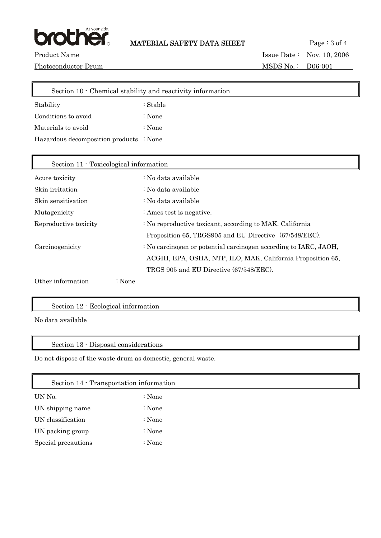

Product Name Issue Date : Nov. 10, 2006

Photoconductor Drum MSDS No.: D06-001

 Section 10 - Chemical stability and reactivity information Stability : Stable Conditions to avoid : None Materials to avoid : None Hazardous decomposition products : None  $\mathbb{I}$ 

| Section 11 Toxicological information |                                                                             |
|--------------------------------------|-----------------------------------------------------------------------------|
| Acute toxicity                       | : No data available                                                         |
| Skin irritation                      | : No data available                                                         |
| Skin sensitisation                   | : No data available                                                         |
| Mutagenicity                         | : Ames test is negative.                                                    |
| Reproductive toxicity                | : No reproductive toxicant, according to MAK, California                    |
|                                      | Proposition 65, TRGS905 and EU Directive (67/548/EEC).                      |
| Carcinogenicity                      | $\therefore$ No carcinogen or potential carcinogen according to IARC, JAOH, |
|                                      | ACGIH, EPA, OSHA, NTP, ILO, MAK, California Proposition 65,                 |
|                                      | TRGS 905 and EU Directive (67/548/EEC).                                     |
| Other information                    | $\therefore$ None                                                           |

## Section 12 - Ecological information

No data available

### Section 13 - Disposal considerations

Do not dispose of the waste drum as domestic, general waste.

| Section 14 - Transportation information |          |
|-----------------------------------------|----------|
| UN No.                                  | $:$ None |
| UN shipping name                        | : None   |
| UN classification                       | : None   |
| UN packing group                        | : None   |
| Special precautions                     | $:$ None |